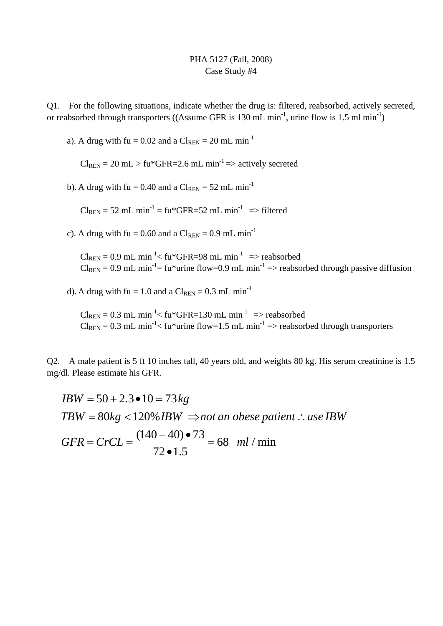## PHA 5127 (Fall, 2008) Case Study #4

Q1. For the following situations, indicate whether the drug is: filtered, reabsorbed, actively secreted, or reabsorbed through transporters ((Assume GFR is 130 mL min<sup>-1</sup>, urine flow is 1.5 ml min<sup>-1</sup>)

a). A drug with fu =  $0.02$  and a Cl<sub>REN</sub> =  $20$  mL min<sup>-1</sup>

 $Cl_{REN}$  = 20 mL > fu\*GFR=2.6 mL min<sup>-1</sup> => actively secreted

b). A drug with fu = 0.40 and a  $Cl_{REN} = 52$  mL min<sup>-1</sup>

 $Cl_{REN}$  = 52 mL min<sup>-1</sup> = fu\*GFR=52 mL min<sup>-1</sup> => filtered

c). A drug with fu = 0.60 and a  $Cl_{RFN} = 0.9$  mL min<sup>-1</sup>

 $Cl_{REN} = 0.9$  mL min<sup>-1</sup> < fu\*GFR=98 mL min<sup>-1</sup> => reabsorbed  $Cl_{REN} = 0.9$  mL min<sup>-1</sup> = fu\*urine flow=0.9 mL min<sup>-1</sup> => reabsorbed through passive diffusion

d). A drug with fu = 1.0 and a  $Cl_{REN} = 0.3$  mL min<sup>-1</sup>

 $Cl_{REN} = 0.3$  mL min<sup>-1</sup> < fu\*GFR=130 mL min<sup>-1</sup> => reabsorbed  $Cl_{REN} = 0.3$  mL min<sup>-1</sup> < fu\*urine flow=1.5 mL min<sup>-1</sup> => reabsorbed through transporters

Q2. A male patient is 5 ft 10 inches tall, 40 years old, and weights 80 kg. His serum creatinine is 1.5 mg/dl. Please estimate his GFR.

$$
IBW = 50 + 2.3 \bullet 10 = 73 kg
$$
  
\n
$$
TBW = 80 kg < 120\% IBM \Rightarrow not an obese patient : use IBW
$$
  
\n
$$
GFR = CrCL = \frac{(140 - 40) \bullet 73}{72 \bullet 1.5} = 68 \text{ ml/min}
$$